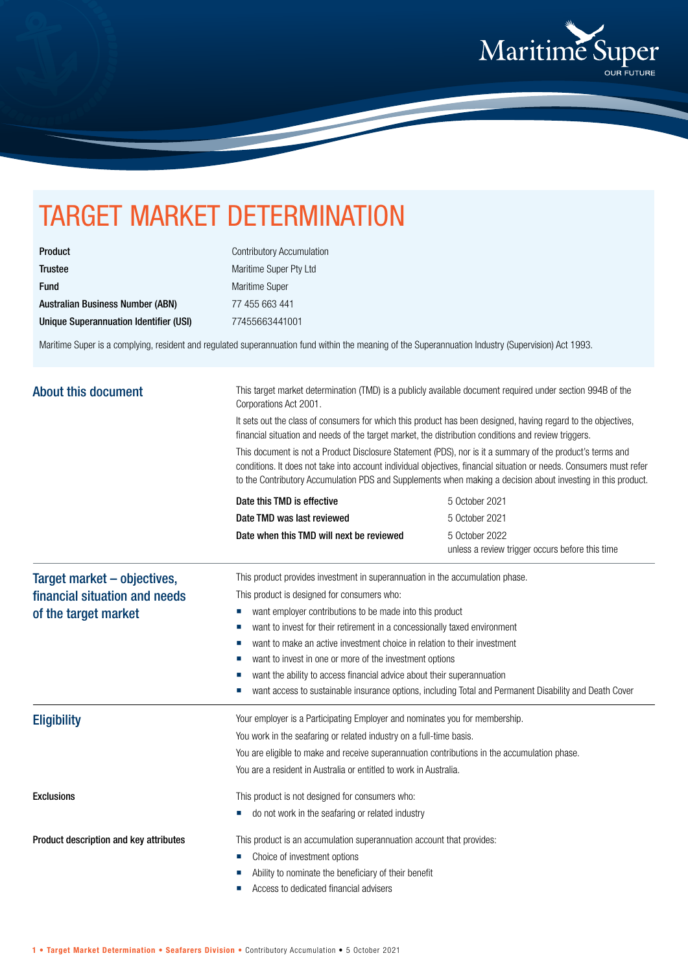

## TARGET MARKET DETERMINATION

| <b>Product</b>                         |
|----------------------------------------|
| <b>Trustee</b>                         |
| <b>Fund</b>                            |
| Australian Business Number (ABN)       |
| Unique Superannuation Identifier (USI) |

Contributory Accumulation Maritime Super Pty Ltd Maritime Super 77 455 663 441 Unique Superannuation Identifier (USI) 77455663441001

Maritime Super is a complying, resident and regulated superannuation fund within the meaning of the Superannuation Industry (Supervision) Act 1993.

| <b>About this document</b>                                                                                                                                                       | This target market determination (TMD) is a publicly available document required under section 994B of the<br>Corporations Act 2001.<br>It sets out the class of consumers for which this product has been designed, having regard to the objectives,<br>financial situation and needs of the target market, the distribution conditions and review triggers.<br>This document is not a Product Disclosure Statement (PDS), nor is it a summary of the product's terms and<br>conditions. It does not take into account individual objectives, financial situation or needs. Consumers must refer<br>to the Contributory Accumulation PDS and Supplements when making a decision about investing in this product. |                                                                               |  |                            |                |
|----------------------------------------------------------------------------------------------------------------------------------------------------------------------------------|-------------------------------------------------------------------------------------------------------------------------------------------------------------------------------------------------------------------------------------------------------------------------------------------------------------------------------------------------------------------------------------------------------------------------------------------------------------------------------------------------------------------------------------------------------------------------------------------------------------------------------------------------------------------------------------------------------------------|-------------------------------------------------------------------------------|--|----------------------------|----------------|
|                                                                                                                                                                                  |                                                                                                                                                                                                                                                                                                                                                                                                                                                                                                                                                                                                                                                                                                                   |                                                                               |  | Date this TMD is effective | 5 October 2021 |
|                                                                                                                                                                                  |                                                                                                                                                                                                                                                                                                                                                                                                                                                                                                                                                                                                                                                                                                                   |                                                                               |  | Date TMD was last reviewed | 5 October 2021 |
|                                                                                                                                                                                  | Date when this TMD will next be reviewed                                                                                                                                                                                                                                                                                                                                                                                                                                                                                                                                                                                                                                                                          | 5 October 2022<br>unless a review trigger occurs before this time             |  |                            |                |
|                                                                                                                                                                                  | Target market – objectives,                                                                                                                                                                                                                                                                                                                                                                                                                                                                                                                                                                                                                                                                                       | This product provides investment in superannuation in the accumulation phase. |  |                            |                |
|                                                                                                                                                                                  | financial situation and needs<br>of the target market                                                                                                                                                                                                                                                                                                                                                                                                                                                                                                                                                                                                                                                             | This product is designed for consumers who:                                   |  |                            |                |
| want employer contributions to be made into this product<br>ш                                                                                                                    |                                                                                                                                                                                                                                                                                                                                                                                                                                                                                                                                                                                                                                                                                                                   |                                                                               |  |                            |                |
| want to invest for their retirement in a concessionally taxed environment<br>ш                                                                                                   |                                                                                                                                                                                                                                                                                                                                                                                                                                                                                                                                                                                                                                                                                                                   |                                                                               |  |                            |                |
| want to make an active investment choice in relation to their investment                                                                                                         |                                                                                                                                                                                                                                                                                                                                                                                                                                                                                                                                                                                                                                                                                                                   |                                                                               |  |                            |                |
| want to invest in one or more of the investment options                                                                                                                          |                                                                                                                                                                                                                                                                                                                                                                                                                                                                                                                                                                                                                                                                                                                   |                                                                               |  |                            |                |
| want the ability to access financial advice about their superannuation<br>want access to sustainable insurance options, including Total and Permanent Disability and Death Cover |                                                                                                                                                                                                                                                                                                                                                                                                                                                                                                                                                                                                                                                                                                                   |                                                                               |  |                            |                |
| <b>Eligibility</b>                                                                                                                                                               | Your employer is a Participating Employer and nominates you for membership.                                                                                                                                                                                                                                                                                                                                                                                                                                                                                                                                                                                                                                       |                                                                               |  |                            |                |
|                                                                                                                                                                                  | You work in the seafaring or related industry on a full-time basis.                                                                                                                                                                                                                                                                                                                                                                                                                                                                                                                                                                                                                                               |                                                                               |  |                            |                |
|                                                                                                                                                                                  | You are eligible to make and receive superannuation contributions in the accumulation phase.                                                                                                                                                                                                                                                                                                                                                                                                                                                                                                                                                                                                                      |                                                                               |  |                            |                |
|                                                                                                                                                                                  | You are a resident in Australia or entitled to work in Australia.                                                                                                                                                                                                                                                                                                                                                                                                                                                                                                                                                                                                                                                 |                                                                               |  |                            |                |
| <b>Exclusions</b>                                                                                                                                                                | This product is not designed for consumers who:                                                                                                                                                                                                                                                                                                                                                                                                                                                                                                                                                                                                                                                                   |                                                                               |  |                            |                |
|                                                                                                                                                                                  | do not work in the seafaring or related industry                                                                                                                                                                                                                                                                                                                                                                                                                                                                                                                                                                                                                                                                  |                                                                               |  |                            |                |
| Product description and key attributes                                                                                                                                           | This product is an accumulation superannuation account that provides:                                                                                                                                                                                                                                                                                                                                                                                                                                                                                                                                                                                                                                             |                                                                               |  |                            |                |
|                                                                                                                                                                                  | Choice of investment options<br>ш                                                                                                                                                                                                                                                                                                                                                                                                                                                                                                                                                                                                                                                                                 |                                                                               |  |                            |                |
|                                                                                                                                                                                  | Ability to nominate the beneficiary of their benefit                                                                                                                                                                                                                                                                                                                                                                                                                                                                                                                                                                                                                                                              |                                                                               |  |                            |                |
|                                                                                                                                                                                  | Access to dedicated financial advisers                                                                                                                                                                                                                                                                                                                                                                                                                                                                                                                                                                                                                                                                            |                                                                               |  |                            |                |
|                                                                                                                                                                                  |                                                                                                                                                                                                                                                                                                                                                                                                                                                                                                                                                                                                                                                                                                                   |                                                                               |  |                            |                |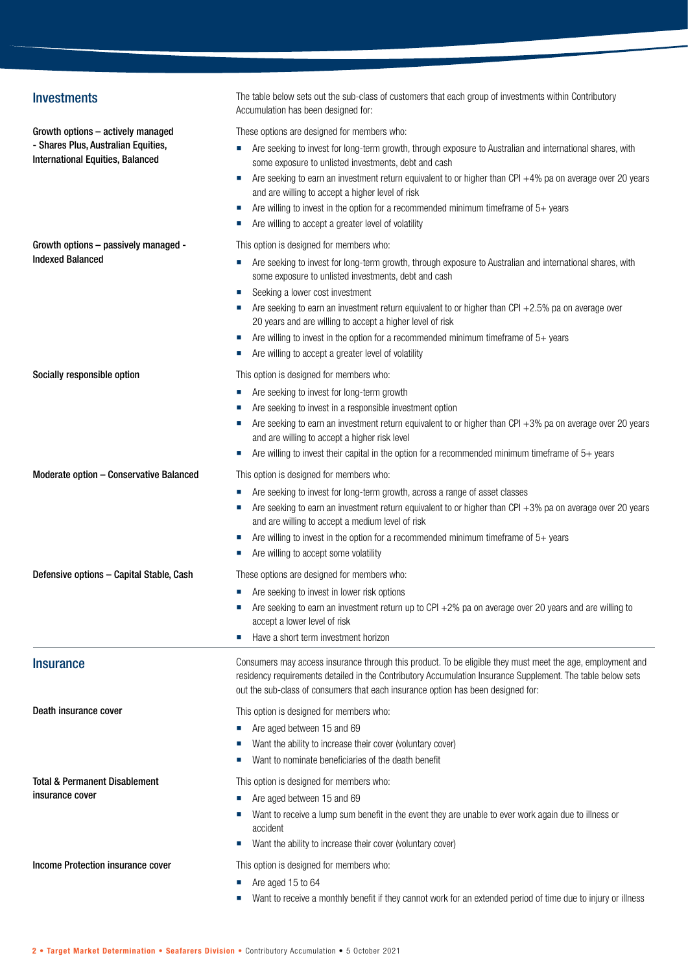| <b>Investments</b>                                                             | The table below sets out the sub-class of customers that each group of investments within Contributory<br>Accumulation has been designed for:                                                                                                                                                                 |
|--------------------------------------------------------------------------------|---------------------------------------------------------------------------------------------------------------------------------------------------------------------------------------------------------------------------------------------------------------------------------------------------------------|
| Growth options - actively managed                                              | These options are designed for members who:                                                                                                                                                                                                                                                                   |
| - Shares Plus, Australian Equities,<br><b>International Equities, Balanced</b> | Are seeking to invest for long-term growth, through exposure to Australian and international shares, with<br>ш<br>some exposure to unlisted investments, debt and cash                                                                                                                                        |
|                                                                                | Are seeking to earn an investment return equivalent to or higher than CPI +4% pa on average over 20 years<br>ш<br>and are willing to accept a higher level of risk                                                                                                                                            |
|                                                                                | Are willing to invest in the option for a recommended minimum timeframe of $5+$ years<br>ш<br>Are willing to accept a greater level of volatility                                                                                                                                                             |
| Growth options - passively managed -                                           | This option is designed for members who:                                                                                                                                                                                                                                                                      |
| <b>Indexed Balanced</b>                                                        | Are seeking to invest for long-term growth, through exposure to Australian and international shares, with<br>some exposure to unlisted investments, debt and cash                                                                                                                                             |
|                                                                                | Seeking a lower cost investment                                                                                                                                                                                                                                                                               |
|                                                                                | Are seeking to earn an investment return equivalent to or higher than CPI +2.5% pa on average over<br>20 years and are willing to accept a higher level of risk                                                                                                                                               |
|                                                                                | Are willing to invest in the option for a recommended minimum timeframe of $5+$ years<br>ш                                                                                                                                                                                                                    |
|                                                                                | Are willing to accept a greater level of volatility                                                                                                                                                                                                                                                           |
| Socially responsible option                                                    | This option is designed for members who:                                                                                                                                                                                                                                                                      |
|                                                                                | Are seeking to invest for long-term growth<br>ш                                                                                                                                                                                                                                                               |
|                                                                                | Are seeking to invest in a responsible investment option                                                                                                                                                                                                                                                      |
|                                                                                | Are seeking to earn an investment return equivalent to or higher than CPI +3% pa on average over 20 years                                                                                                                                                                                                     |
|                                                                                | and are willing to accept a higher risk level<br>Are willing to invest their capital in the option for a recommended minimum timeframe of $5+$ years<br>ш                                                                                                                                                     |
|                                                                                |                                                                                                                                                                                                                                                                                                               |
| Moderate option - Conservative Balanced                                        | This option is designed for members who:                                                                                                                                                                                                                                                                      |
|                                                                                | Are seeking to invest for long-term growth, across a range of asset classes                                                                                                                                                                                                                                   |
|                                                                                | Are seeking to earn an investment return equivalent to or higher than CPI $+3%$ pa on average over 20 years<br>and are willing to accept a medium level of risk                                                                                                                                               |
|                                                                                | Are willing to invest in the option for a recommended minimum timeframe of $5+$ years<br>ш                                                                                                                                                                                                                    |
|                                                                                | Are willing to accept some volatility                                                                                                                                                                                                                                                                         |
| Defensive options - Capital Stable, Cash                                       | These options are designed for members who:                                                                                                                                                                                                                                                                   |
|                                                                                | Are seeking to invest in lower risk options                                                                                                                                                                                                                                                                   |
|                                                                                | Are seeking to earn an investment return up to CPI +2% pa on average over 20 years and are willing to<br>accept a lower level of risk                                                                                                                                                                         |
|                                                                                | Have a short term investment horizon<br>ш                                                                                                                                                                                                                                                                     |
| <b>Insurance</b>                                                               | Consumers may access insurance through this product. To be eligible they must meet the age, employment and<br>residency requirements detailed in the Contributory Accumulation Insurance Supplement. The table below sets<br>out the sub-class of consumers that each insurance option has been designed for: |
| Death insurance cover                                                          | This option is designed for members who:                                                                                                                                                                                                                                                                      |
|                                                                                | Are aged between 15 and 69                                                                                                                                                                                                                                                                                    |
|                                                                                | Want the ability to increase their cover (voluntary cover)                                                                                                                                                                                                                                                    |
|                                                                                | Want to nominate beneficiaries of the death benefit                                                                                                                                                                                                                                                           |
| Total & Permanent Disablement<br>insurance cover                               | This option is designed for members who:                                                                                                                                                                                                                                                                      |
|                                                                                | Are aged between 15 and 69                                                                                                                                                                                                                                                                                    |
|                                                                                | Want to receive a lump sum benefit in the event they are unable to ever work again due to illness or                                                                                                                                                                                                          |
|                                                                                | accident<br>Want the ability to increase their cover (voluntary cover)                                                                                                                                                                                                                                        |
| Income Protection insurance cover                                              | This option is designed for members who:                                                                                                                                                                                                                                                                      |
|                                                                                | Are aged 15 to 64                                                                                                                                                                                                                                                                                             |
|                                                                                | Want to receive a monthly benefit if they cannot work for an extended period of time due to injury or illness                                                                                                                                                                                                 |